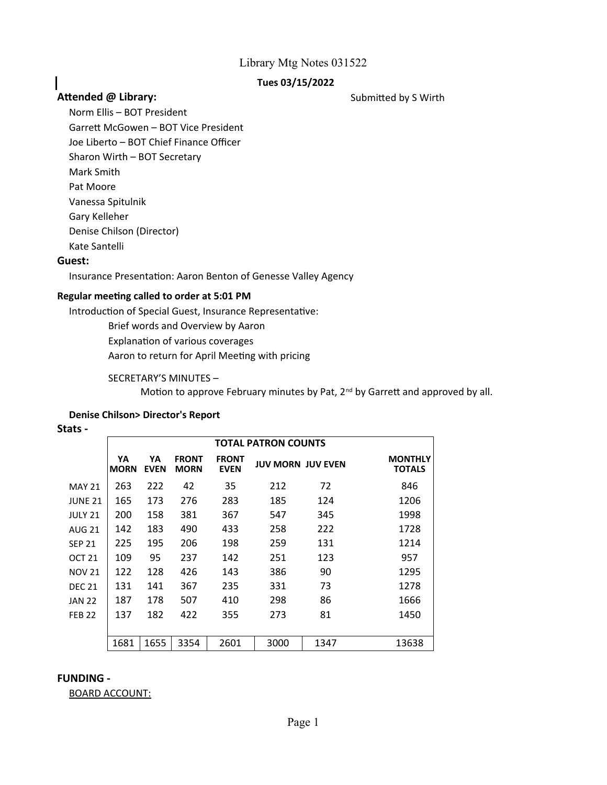# **Tues 03/15/2022**

# Attended @ Library: **Attended @ Library:** Submitted by S Wirth

Norm Ellis – BOT President Garrett McGowen – BOT Vice President Joe Liberto – BOT Chief Finance Officer Sharon Wirth – BOT Secretary Mark Smith Pat Moore Vanessa Spitulnik Gary Kelleher Denise Chilson (Director) Kate Santelli

### **Guest:**

I

Insurance Presentation: Aaron Benton of Genesse Valley Agency

#### **Regular meeting called to order at 5:01 PM**

Introduction of Special Guest, Insurance Representative:

Brief words and Overview by Aaron

Explanation of various coverages

Aaron to return for April Meeting with pricing

#### SECRETARY'S MINUTES –

Motion to approve February minutes by Pat, 2<sup>nd</sup> by Garrett and approved by all.

### **Denise Chilson> Director's Report**

#### **Stats -**

|                | TOTAL PATRON COUNTS |                   |                             |                             |                          |      |                                 |  |  |  |
|----------------|---------------------|-------------------|-----------------------------|-----------------------------|--------------------------|------|---------------------------------|--|--|--|
|                | YA<br><b>MORN</b>   | YA<br><b>EVEN</b> | <b>FRONT</b><br><b>MORN</b> | <b>FRONT</b><br><b>EVEN</b> | <b>JUV MORN JUV EVEN</b> |      | <b>MONTHLY</b><br><b>TOTALS</b> |  |  |  |
| <b>MAY 21</b>  | 263                 | 222               | 42                          | 35                          | 212                      | 72   | 846                             |  |  |  |
| <b>JUNE 21</b> | 165                 | 173               | 276                         | 283                         | 185                      | 124  | 1206                            |  |  |  |
| <b>JULY 21</b> | 200                 | 158               | 381                         | 367                         | 547                      | 345  | 1998                            |  |  |  |
| <b>AUG 21</b>  | 142                 | 183               | 490                         | 433                         | 258                      | 222  | 1728                            |  |  |  |
| <b>SEP 21</b>  | 225                 | 195               | 206                         | 198                         | 259                      | 131  | 1214                            |  |  |  |
| <b>OCT 21</b>  | 109                 | 95                | 237                         | 142                         | 251                      | 123  | 957                             |  |  |  |
| <b>NOV 21</b>  | 122                 | 128               | 426                         | 143                         | 386                      | 90   | 1295                            |  |  |  |
| <b>DEC 21</b>  | 131                 | 141               | 367                         | 235                         | 331                      | 73   | 1278                            |  |  |  |
| <b>JAN 22</b>  | 187                 | 178               | 507                         | 410                         | 298                      | 86   | 1666                            |  |  |  |
| <b>FEB 22</b>  | 137                 | 182               | 422                         | 355                         | 273                      | 81   | 1450                            |  |  |  |
|                |                     |                   |                             |                             |                          |      |                                 |  |  |  |
|                | 1681                | 1655              | 3354                        | 2601                        | 3000                     | 1347 | 13638                           |  |  |  |

#### **FUNDING -**

BOARD ACCOUNT: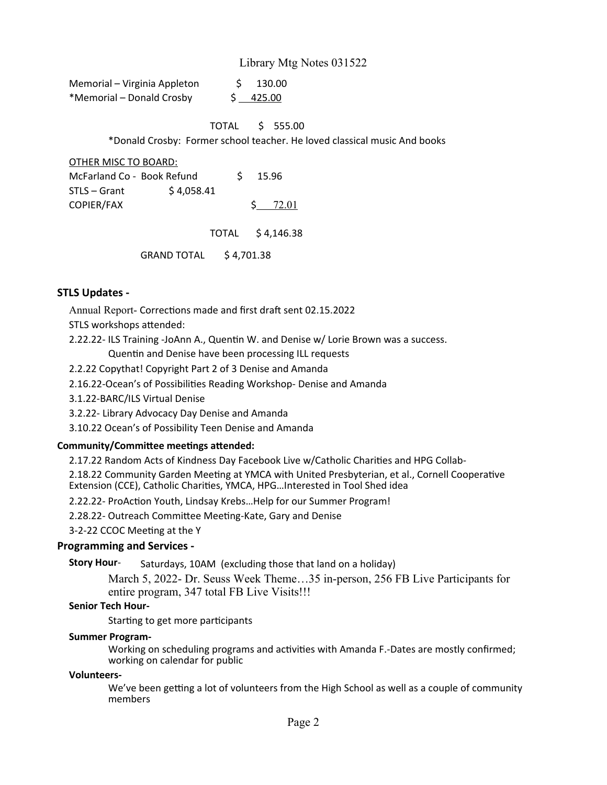| Memorial - Virginia Appleton | 130.00    |
|------------------------------|-----------|
| *Memorial – Donald Crosby    | \$ 425.00 |

TOTAL \$ 555.00

\*Donald Crosby: Former school teacher. He loved classical music And books

#### OTHER MISC TO BOARD:

| McFarland Co - Book Refund |            |  | 15.96           |
|----------------------------|------------|--|-----------------|
| STLS – Grant               | \$4.058.41 |  |                 |
| COPIER/FAX                 |            |  | $5 \quad 72.01$ |

TOTAL \$ 4,146.38

GRAND TOTAL \$ 4,701.38

# **STLS Updates -**

Annual Report- Corrections made and first draft sent 02.15.2022

STLS workshops attended:

2.22.22- ILS Training -JoAnn A., Quentin W. and Denise w/ Lorie Brown was a success.

Quentin and Denise have been processing ILL requests

2.2.22 Copythat! Copyright Part 2 of 3 Denise and Amanda

2.16.22-Ocean's of Possibilities Reading Workshop- Denise and Amanda

3.1.22-BARC/ILS Virtual Denise

3.2.22- Library Advocacy Day Denise and Amanda

3.10.22 Ocean's of Possibility Teen Denise and Amanda

#### **Community/Committee meetings attended:**

2.17.22 Random Acts of Kindness Day Facebook Live w/Catholic Charities and HPG Collab-

2.18.22 Community Garden Meeting at YMCA with United Presbyterian, et al., Cornell Cooperative Extension (CCE), Catholic Charities, YMCA, HPG…Interested in Tool Shed idea

2.22.22- ProAction Youth, Lindsay Krebs…Help for our Summer Program!

2.28.22- Outreach Committee Meeting-Kate, Gary and Denise

3-2-22 CCOC Meeting at the Y

#### **Programming and Services -**

Saturdays, 10AM (excluding those that land on a holiday) **Story Hour**-

> March 5, 2022- Dr. Seuss Week Theme…35 in-person, 256 FB Live Participants for entire program, 347 total FB Live Visits!!!

#### **Senior Tech Hour-**

Starting to get more participants

#### **Summer Program-**

Working on scheduling programs and activities with Amanda F.-Dates are mostly confirmed; working on calendar for public

#### **Volunteers-**

We've been getting a lot of volunteers from the High School as well as a couple of community members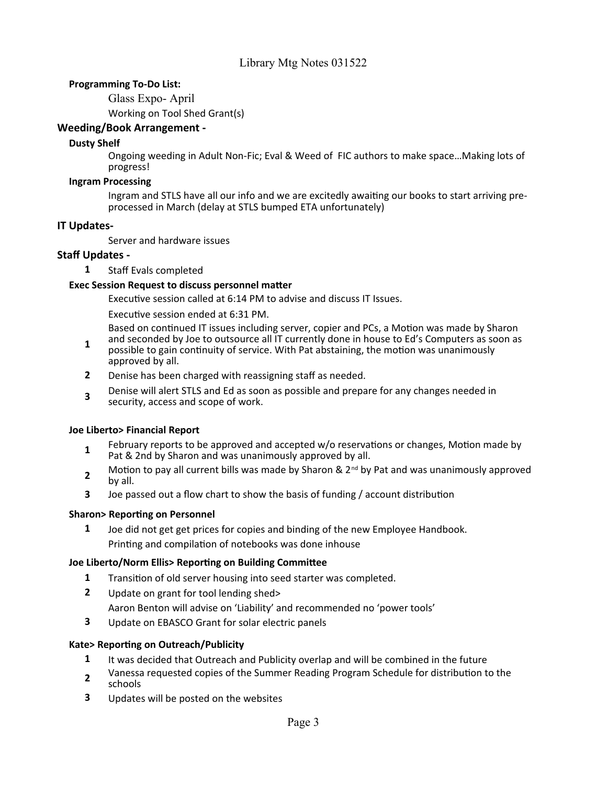# **Programming To-Do List:**

Glass Expo- April

Working on Tool Shed Grant(s)

# **Weeding/Book Arrangement -**

# **Dusty Shelf**

Ongoing weeding in Adult Non-Fic; Eval & Weed of FIC authors to make space…Making lots of progress!

### **Ingram Processing**

Ingram and STLS have all our info and we are excitedly awaiting our books to start arriving preprocessed in March (delay at STLS bumped ETA unfortunately)

# **IT Updates-**

Server and hardware issues

# **Staff Updates -**

**1** Staff Evals completed

# **Exec Session Request to discuss personnel matter**

Executive session called at 6:14 PM to advise and discuss IT Issues.

Executive session ended at 6:31 PM.

Based on continued IT issues including server, copier and PCs, a Motion was made by Sharon and seconded by Joe to outsource all IT currently done in house to Ed's Computers as soon as

- **1** possible to gain continuity of service. With Pat abstaining, the motion was unanimously approved by all.
- **2** Denise has been charged with reassigning staff as needed.
- **3** Denise will alert STLS and Ed as soon as possible and prepare for any changes needed in security, access and scope of work.

# **Joe Liberto> Financial Report**

- **1** February reports to be approved and accepted w/o reservations or changes, Motion made by Pat & 2nd by Sharon and was unanimously approved by all.
- **2** Motion to pay all current bills was made by Sharon &  $2^{nd}$  by Pat and was unanimously approved by all.
- **3** Joe passed out a flow chart to show the basis of funding / account distribution

#### **Sharon> Reporting on Personnel**

**1** Joe did not get get prices for copies and binding of the new Employee Handbook. Printing and compilation of notebooks was done inhouse

# **Joe Liberto/Norm Ellis> Reporting on Building Committee**

- **1** Transition of old server housing into seed starter was completed.
- **2** Update on grant for tool lending shed>
	- Aaron Benton will advise on 'Liability' and recommended no 'power tools'
- **3** Update on EBASCO Grant for solar electric panels

# **Kate> Reporting on Outreach/Publicity**

- **1** It was decided that Outreach and Publicity overlap and will be combined in the future
- **2** Vanessa requested copies of the Summer Reading Program Schedule for distribution to the schools
- **3** Updates will be posted on the websites